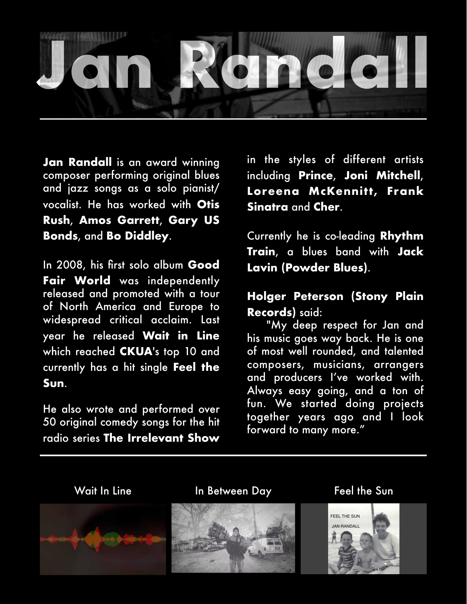

**Jan Randall** is an award winning composer performing original blues and jazz songs as a solo pianist/ vocalist. He has worked with **Otis Rush**, **Amos Garrett**, **Gary US Bonds**, and **Bo Diddley**.

In 2008, his first solo album **Good Fair World** was independently released and promoted with a tour of North America and Europe to widespread critical acclaim. Last year he released **Wait in Line** which reached **CKUA**'s top 10 and currently has a hit single **Feel the Sun**.

He also wrote and performed over 50 original comedy songs for the hit radio series **The Irrelevant Show**

in the styles of different artists including **Prince**, **Joni Mitchell**, Loreena McKennitt, Frank **Sinatra** and **Cher**.

Currently he is co-leading **Rhythm Train**, a blues band with **Jack Lavin (Powder Blues)**.

## **Holger Peterson (Stony Plain Records)** said:

 "My deep respect for Jan and his music goes way back. He is one of most well rounded, and talented composers, musicians, arrangers and producers I've worked with. Always easy going, and a ton of fun. We started doing projects together years ago and I look forward to many more."